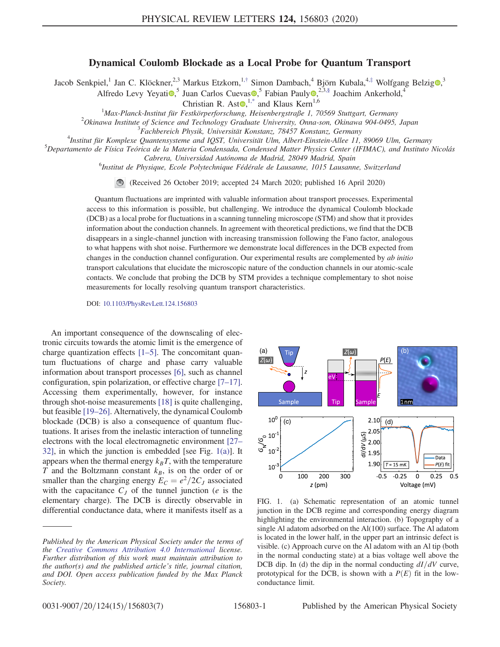## Dynamical Coulomb Blockade as a Local Probe for Quantum Transport

<span id="page-0-3"></span><span id="page-0-2"></span><span id="page-0-1"></span>Jacob Senkpiel,<sup>1</sup> Jan C. Klöckner,<sup>2,3</sup> Markus Etzkorn,<sup>1,[†](#page-4-0)</sup> Simon Dambach,<sup>4</sup> Björn Kubala,<sup>4,[‡](#page-4-1)</sup> Wolfgang Belzig<sup>o</sup>,<sup>3</sup>

Alfredo Levy Yeyati $\overline{\bullet}$ ,<sup>5</sup> Juan Carlos Cuevas  $\overline{\bullet}$ ,<sup>5</sup> Fabian Pauly  $\overline{\bullet}$ ,<sup>2,3[,§](#page-4-2)</sup> Joachim Ankerhold,<sup>4</sup>

Christian R. Ast $\mathbf{e}^{1,*}$  $\mathbf{e}^{1,*}$  $\mathbf{e}^{1,*}$  and Klaus Kern<sup>1,6</sup>

<sup>1</sup>Max-Planck-Institut für Festkörperforschung, Heisenbergstraße 1, 70569 Stuttgart, Germany<br><sup>2</sup>Okingwa Institute of Science and Technology Craduate University, Onna son, Okingwa 904,0495

 $^{2}$ Okinawa Institute of Science and Technology Graduate University, Onna-son, Okinawa 904-0495, Japan

<sup>3</sup>Fachbereich Physik, Universität Konstanz, 78457 Konstanz, Germany

<sup>4</sup>Institut für Komplexe Quantensysteme and IQST, Universität Ulm, Albert-Einstein-Allee 11, 89069 Ulm, Germany

 $^5$ Departamento de Física Teórica de la Materia Condensada, Condensed Matter Physics Center (IFIMAC), and Instituto Nicolás

Cabrera, Universidad Autónoma de Madrid, 28049 Madrid, Spain <sup>6</sup>

<sup>6</sup>Institut de Physique, Ecole Polytechnique Fédérale de Lausanne, 1015 Lausanne, Switzerland

(Received 26 October 2019; accepted 24 March 2020; published 16 April 2020)

Quantum fluctuations are imprinted with valuable information about transport processes. Experimental access to this information is possible, but challenging. We introduce the dynamical Coulomb blockade (DCB) as a local probe for fluctuations in a scanning tunneling microscope (STM) and show that it provides information about the conduction channels. In agreement with theoretical predictions, we find that the DCB disappears in a single-channel junction with increasing transmission following the Fano factor, analogous to what happens with shot noise. Furthermore we demonstrate local differences in the DCB expected from changes in the conduction channel configuration. Our experimental results are complemented by *ab initio* transport calculations that elucidate the microscopic nature of the conduction channels in our atomic-scale contacts. We conclude that probing the DCB by STM provides a technique complementary to shot noise measurements for locally resolving quantum transport characteristics.

DOI: [10.1103/PhysRevLett.124.156803](https://doi.org/10.1103/PhysRevLett.124.156803)

An important consequence of the downscaling of electronic circuits towards the atomic limit is the emergence of charge quantization effects [1–[5\].](#page-4-4) The concomitant quantum fluctuations of charge and phase carry valuable information about transport processes [\[6\]](#page-4-5), such as channel configuration, spin polarization, or effective charge [7–[17\]](#page-4-6). Accessing them experimentally, however, for instance through shot-noise measurements [\[18\]](#page-4-7) is quite challenging, but feasible [19–[26\].](#page-4-8) Alternatively, the dynamical Coulomb blockade (DCB) is also a consequence of quantum fluctuations. It arises from the inelastic interaction of tunneling electrons with the local electromagnetic environment [\[27](#page-5-0)– [32\],](#page-5-0) in which the junction is embedded [see Fig. [1\(a\)](#page-0-0)]. It appears when the thermal energy  $k_BT$ , with the temperature T and the Boltzmann constant  $k_B$ , is on the order of or smaller than the charging energy  $E_C = e^2/2C_J$  associated with the capacitance  $C_I$  of the tunnel junction (*e* is the elementary charge). The DCB is directly observable in differential conductance data, where it manifests itself as a

<span id="page-0-0"></span>

FIG. 1. (a) Schematic representation of an atomic tunnel junction in the DCB regime and corresponding energy diagram highlighting the environmental interaction. (b) Topography of a single Al adatom adsorbed on the Al(100) surface. The Al adatom is located in the lower half, in the upper part an intrinsic defect is visible. (c) Approach curve on the Al adatom with an Al tip (both in the normal conducting state) at a bias voltage well above the DCB dip. In (d) the dip in the normal conducting  $dI/dV$  curve, prototypical for the DCB, is shown with a  $P(E)$  fit in the lowconductance limit.

Published by the American Physical Society under the terms of the [Creative Commons Attribution 4.0 International](https://creativecommons.org/licenses/by/4.0/) license. Further distribution of this work must maintain attribution to the author(s) and the published article's title, journal citation, and DOI. Open access publication funded by the Max Planck Society.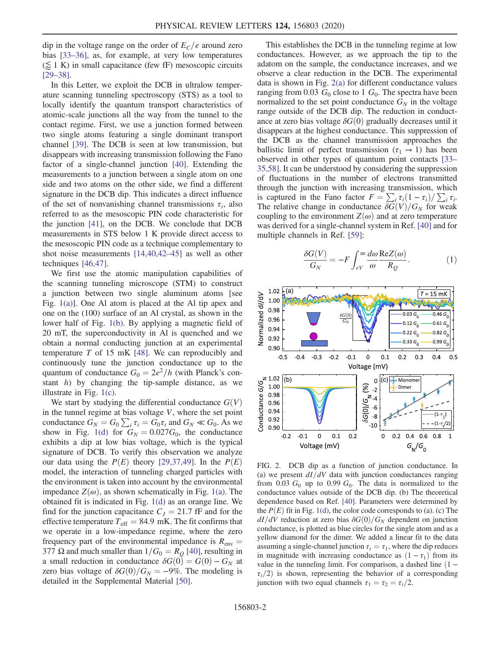dip in the voltage range on the order of  $E_C/e$  around zero bias [\[33](#page-5-1)–36], as, for example, at very low temperatures  $(\leq 1)$  K) in small capacitance (few fF) mesoscopic circuits [\[29](#page-5-2)–38].

In this Letter, we exploit the DCB in ultralow temperature scanning tunneling spectroscopy (STS) as a tool to locally identify the quantum transport characteristics of atomic-scale junctions all the way from the tunnel to the contact regime. First, we use a junction formed between two single atoms featuring a single dominant transport channel [\[39\].](#page-5-3) The DCB is seen at low transmission, but disappears with increasing transmission following the Fano factor of a single-channel junction [\[40\]](#page-5-4). Extending the measurements to a junction between a single atom on one side and two atoms on the other side, we find a different signature in the DCB dip. This indicates a direct influence of the set of nonvanishing channel transmissions  $\tau_i$ , also referred to as the mesoscopic PIN code characteristic for the junction [\[41\],](#page-5-5) on the DCB. We conclude that DCB measurements in STS below 1 K provide direct access to the mesoscopic PIN code as a technique complementary to shot noise measurements [\[14,40,42](#page-4-9)–45] as well as other techniques [\[46,47\]](#page-5-6).

We first use the atomic manipulation capabilities of the scanning tunneling microscope (STM) to construct a junction between two single aluminum atoms [see Fig. [1\(a\)](#page-0-0)]. One Al atom is placed at the Al tip apex and one on the (100) surface of an Al crystal, as shown in the lower half of Fig. [1\(b\).](#page-0-0) By applying a magnetic field of 20 mT, the superconductivity in Al is quenched and we obtain a normal conducting junction at an experimental temperature  $T$  of 15 mK [\[48\]](#page-5-7). We can reproducibly and continuously tune the junction conductance up to the quantum of conductance  $G_0 = 2e^2/h$  (with Planck's constant  $h$ ) by changing the tip-sample distance, as we illustrate in Fig. [1\(c\)](#page-0-0).

We start by studying the differential conductance  $G(V)$ in the tunnel regime at bias voltage  $V$ , where the set point conductance  $G_N = G_0 \sum_i \tau_i = G_0 \tau_i$  and  $G_N \ll G_0$ . As we show in Fig. [1\(d\)](#page-0-0) for  $G_N = 0.027G_0$ , the conductance exhibits a dip at low bias voltage, which is the typical signature of DCB. To verify this observation we analyze our data using the  $P(E)$  theory [\[29,37,49\].](#page-5-2) In the  $P(E)$ model, the interaction of tunneling charged particles with the environment is taken into account by the environmental impedance  $Z(\omega)$ , as shown schematically in Fig. [1\(a\)](#page-0-0). The obtained fit is indicated in Fig. [1\(d\)](#page-0-0) as an orange line. We find for the junction capacitance  $C_J = 21.7$  fF and for the effective temperature  $T_{\text{eff}} = 84.9 \text{ mK}$ . The fit confirms that we operate in a low-impedance regime, where the zero frequency part of the environmental impedance is  $R_{env} =$ 377 Ω and much smaller than  $1/G_0 = R_Q$  [\[40\],](#page-5-4) resulting in a small reduction in conductance  $\delta G(0) = G(0) - G_N$  at zero bias voltage of  $\delta G(0)/G_N = -9\%$ . The modeling is detailed in the Supplemental Material [\[50\]](#page-5-8).

This establishes the DCB in the tunneling regime at low conductances. However, as we approach the tip to the adatom on the sample, the conductance increases, and we observe a clear reduction in the DCB. The experimental data is shown in Fig. [2\(a\)](#page-1-0) for different conductance values ranging from 0.03  $G_0$  close to 1  $G_0$ . The spectra have been normalized to the set point conductance  $G_N$  in the voltage range outside of the DCB dip. The reduction in conductance at zero bias voltage  $\delta G(0)$  gradually decreases until it disappears at the highest conductance. This suppression of the DCB as the channel transmission approaches the ballistic limit of perfect transmission ( $\tau_1 \rightarrow 1$ ) has been observed in other types of quantum point contacts [\[33](#page-5-1)– [35,58\].](#page-5-1) It can be understood by considering the suppression of fluctuations in the number of electrons transmitted through the junction with increasing transmission, which is captured in the Fano factor  $F = \sum_i \tau_i (1 - \tau_i) / \sum_i \tau_i$ . The relative change in conductance  $\delta G(V)/G_N$  for weak coupling to the environment  $Z(\omega)$  and at zero temperature was derived for a single-channel system in Ref. [\[40\]](#page-5-4) and for multiple channels in Ref. [\[59\]](#page-6-0):

<span id="page-1-1"></span>
$$
\frac{\delta G(V)}{G_N} = -F \int_{eV}^{\infty} \frac{d\omega}{\omega} \frac{\text{Re} Z(\omega)}{R_Q}.
$$
 (1)

<span id="page-1-0"></span>

FIG. 2. DCB dip as a function of junction conductance. In (a) we present  $dI/dV$  data with junction conductances ranging from 0.03  $G_0$  up to 0.99  $G_0$ . The data is normalized to the conductance values outside of the DCB dip. (b) The theoretical dependence based on Ref. [\[40\].](#page-5-4) Parameters were determined by the  $P(E)$  fit in Fig. [1\(d\),](#page-0-0) the color code corresponds to (a). (c) The  $dI/dV$  reduction at zero bias  $\delta G(0)/G_N$  dependent on junction conductance, is plotted as blue circles for the single atom and as a yellow diamond for the dimer. We added a linear fit to the data assuming a single-channel junction  $\tau_t = \tau_1$ , where the dip reduces in magnitude with increasing conductance as  $(1 - \tau_1)$  from its value in the tunneling limit. For comparison, a dashed line  $(1 \tau_t/2$ ) is shown, representing the behavior of a corresponding junction with two equal channels  $\tau_1 = \tau_2 = \tau_t/2$ .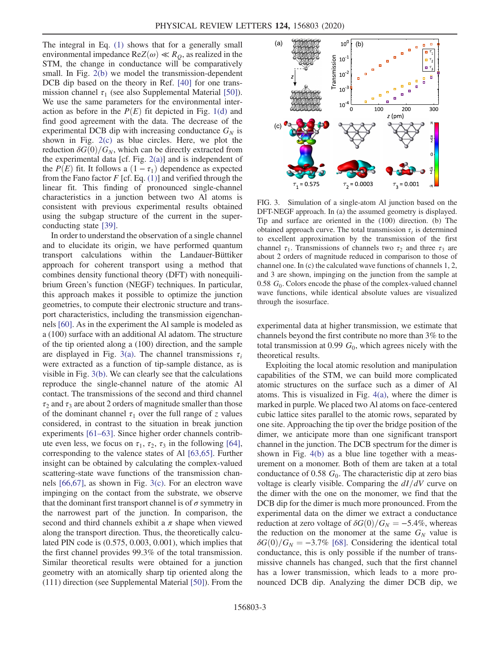The integral in Eq. [\(1\)](#page-1-1) shows that for a generally small environmental impedance  $ReZ(\omega) \ll R_0$ , as realized in the STM, the change in conductance will be comparatively small. In Fig. [2\(b\)](#page-1-0) we model the transmission-dependent DCB dip based on the theory in Ref. [\[40\]](#page-5-4) for one transmission channel  $\tau_1$  (see also Supplemental Material [\[50\]](#page-5-8)). We use the same parameters for the environmental interaction as before in the  $P(E)$  fit depicted in Fig. [1\(d\)](#page-0-0) and find good agreement with the data. The decrease of the experimental DCB dip with increasing conductance  $G_N$  is shown in Fig. [2\(c\)](#page-1-0) as blue circles. Here, we plot the reduction  $\delta G(0)/G_N$ , which can be directly extracted from the experimental data [cf. Fig. [2\(a\)](#page-1-0)] and is independent of the  $P(E)$  fit. It follows a  $(1 - \tau_1)$  dependence as expected from the Fano factor  $F$  [cf. Eq. [\(1\)\]](#page-1-1) and verified through the linear fit. This finding of pronounced single-channel characteristics in a junction between two Al atoms is consistent with previous experimental results obtained using the subgap structure of the current in the superconducting state [\[39\].](#page-5-3)

In order to understand the observation of a single channel and to elucidate its origin, we have performed quantum transport calculations within the Landauer-Büttiker approach for coherent transport using a method that combines density functional theory (DFT) with nonequilibrium Green's function (NEGF) techniques. In particular, this approach makes it possible to optimize the junction geometries, to compute their electronic structure and transport characteristics, including the transmission eigenchannels [\[60\]](#page-6-1). As in the experiment the Al sample is modeled as a (100) surface with an additional Al adatom. The structure of the tip oriented along a (100) direction, and the sample are displayed in Fig. [3\(a\).](#page-2-0) The channel transmissions  $\tau_i$ were extracted as a function of tip-sample distance, as is visible in Fig. [3\(b\)](#page-2-0). We can clearly see that the calculations reproduce the single-channel nature of the atomic Al contact. The transmissions of the second and third channel  $\tau_2$  and  $\tau_3$  are about 2 orders of magnitude smaller than those of the dominant channel  $\tau_1$  over the full range of z values considered, in contrast to the situation in break junction experiments [61–[63\].](#page-6-2) Since higher order channels contribute even less, we focus on  $\tau_1$ ,  $\tau_2$ ,  $\tau_3$  in the following [\[64\]](#page-6-3), corresponding to the valence states of Al [\[63,65\]](#page-6-4). Further insight can be obtained by calculating the complex-valued scattering-state wave functions of the transmission channels [\[66,67\],](#page-6-5) as shown in Fig. [3\(c\).](#page-2-0) For an electron wave impinging on the contact from the substrate, we observe that the dominant first transport channel is of  $\sigma$  symmetry in the narrowest part of the junction. In comparison, the second and third channels exhibit a  $\pi$  shape when viewed along the transport direction. Thus, the theoretically calculated PIN code is (0.575, 0.003, 0.001), which implies that the first channel provides 99.3% of the total transmission. Similar theoretical results were obtained for a junction geometry with an atomically sharp tip oriented along the (111) direction (see Supplemental Material [\[50\]\)](#page-5-8). From the

<span id="page-2-0"></span>

FIG. 3. Simulation of a single-atom Al junction based on the DFT-NEGF approach. In (a) the assumed geometry is displayed. Tip and surface are oriented in the (100) direction. (b) The obtained approach curve. The total transmission  $\tau_t$  is determined to excellent approximation by the transmission of the first channel  $\tau_1$ . Transmissions of channels two  $\tau_2$  and three  $\tau_3$  are about 2 orders of magnitude reduced in comparison to those of channel one. In (c) the calculated wave functions of channels 1, 2, and 3 are shown, impinging on the junction from the sample at 0.58  $G_0$ . Colors encode the phase of the complex-valued channel wave functions, while identical absolute values are visualized through the isosurface.

experimental data at higher transmission, we estimate that channels beyond the first contribute no more than 3% to the total transmission at 0.99  $G_0$ , which agrees nicely with the theoretical results.

Exploiting the local atomic resolution and manipulation capabilities of the STM, we can build more complicated atomic structures on the surface such as a dimer of Al atoms. This is visualized in Fig. [4\(a\)](#page-3-0), where the dimer is marked in purple. We placed two Al atoms on face-centered cubic lattice sites parallel to the atomic rows, separated by one site. Approaching the tip over the bridge position of the dimer, we anticipate more than one significant transport channel in the junction. The DCB spectrum for the dimer is shown in Fig. [4\(b\)](#page-3-0) as a blue line together with a measurement on a monomer. Both of them are taken at a total conductance of 0.58  $G_0$ . The characteristic dip at zero bias voltage is clearly visible. Comparing the  $dI/dV$  curve on the dimer with the one on the monomer, we find that the DCB dip for the dimer is much more pronounced. From the experimental data on the dimer we extract a conductance reduction at zero voltage of  $\delta G(0)/G_N = -5.4\%$ , whereas the reduction on the monomer at the same  $G_N$  value is  $\delta G(0)/G_N = -3.7\%$  [\[68\].](#page-6-6) Considering the identical total conductance, this is only possible if the number of transmissive channels has changed, such that the first channel has a lower transmission, which leads to a more pronounced DCB dip. Analyzing the dimer DCB dip, we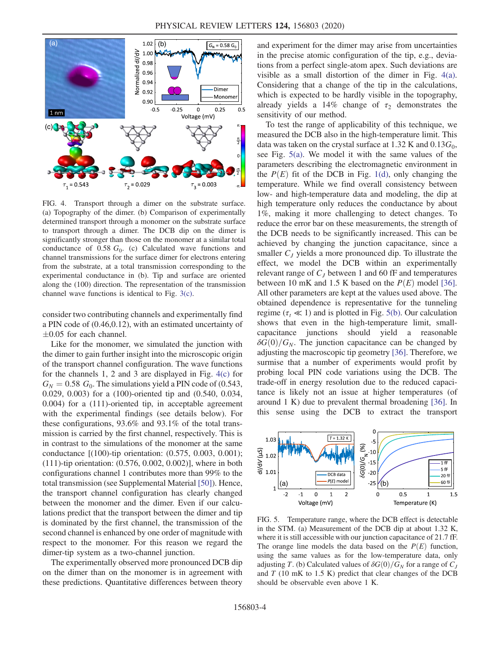<span id="page-3-0"></span>

FIG. 4. Transport through a dimer on the substrate surface. (a) Topography of the dimer. (b) Comparison of experimentally determined transport through a monomer on the substrate surface to transport through a dimer. The DCB dip on the dimer is significantly stronger than those on the monomer at a similar total conductance of 0.58  $G_0$ . (c) Calculated wave functions and channel transmissions for the surface dimer for electrons entering from the substrate, at a total transmission corresponding to the experimental conductance in (b). Tip and surface are oriented along the (100) direction. The representation of the transmission channel wave functions is identical to Fig. [3\(c\)](#page-2-0).

consider two contributing channels and experimentally find a PIN code of (0.46,0.12), with an estimated uncertainty of  $\pm 0.05$  for each channel.

Like for the monomer, we simulated the junction with the dimer to gain further insight into the microscopic origin of the transport channel configuration. The wave functions for the channels 1, 2 and 3 are displayed in Fig. [4\(c\)](#page-3-0) for  $G_N = 0.58 G_0$ . The simulations yield a PIN code of (0.543, 0.029, 0.003) for a (100)-oriented tip and (0.540, 0.034, 0.004) for a (111)-oriented tip, in acceptable agreement with the experimental findings (see details below). For these configurations, 93.6% and 93.1% of the total transmission is carried by the first channel, respectively. This is in contrast to the simulations of the monomer at the same conductance [(100)-tip orientation: (0.575, 0.003, 0.001); (111)-tip orientation: (0.576, 0.002, 0.002)], where in both configurations channel 1 contributes more than 99% to the total transmission (see Supplemental Material [\[50\]\)](#page-5-8). Hence, the transport channel configuration has clearly changed between the monomer and the dimer. Even if our calculations predict that the transport between the dimer and tip is dominated by the first channel, the transmission of the second channel is enhanced by one order of magnitude with respect to the monomer. For this reason we regard the dimer-tip system as a two-channel junction.

The experimentally observed more pronounced DCB dip on the dimer than on the monomer is in agreement with these predictions. Quantitative differences between theory and experiment for the dimer may arise from uncertainties in the precise atomic configuration of the tip, e.g., deviations from a perfect single-atom apex. Such deviations are visible as a small distortion of the dimer in Fig. [4\(a\)](#page-3-0). Considering that a change of the tip in the calculations, which is expected to be hardly visible in the topography, already yields a 14% change of  $\tau_2$  demonstrates the sensitivity of our method.

To test the range of applicability of this technique, we measured the DCB also in the high-temperature limit. This data was taken on the crystal surface at 1.32 K and  $0.13G_0$ , see Fig. [5\(a\).](#page-3-1) We model it with the same values of the parameters describing the electromagnetic environment in the  $P(E)$  fit of the DCB in Fig. [1\(d\),](#page-0-0) only changing the temperature. While we find overall consistency between low- and high-temperature data and modeling, the dip at high temperature only reduces the conductance by about 1%, making it more challenging to detect changes. To reduce the error bar on these measurements, the strength of the DCB needs to be significantly increased. This can be achieved by changing the junction capacitance, since a smaller  $C<sub>J</sub>$  yields a more pronounced dip. To illustrate the effect, we model the DCB within an experimentally relevant range of  $C_I$  between 1 and 60 fF and temperatures between 10 mK and 1.5 K based on the  $P(E)$  model [\[36\]](#page-5-9). All other parameters are kept at the values used above. The obtained dependence is representative for the tunneling regime ( $\tau_t \ll 1$ ) and is plotted in Fig. [5\(b\)](#page-3-1). Our calculation shows that even in the high-temperature limit, smallcapacitance junctions should yield a reasonable  $\delta G(0)/G_N$ . The junction capacitance can be changed by adjusting the macroscopic tip geometry [\[36\]](#page-5-9). Therefore, we surmise that a number of experiments would profit by probing local PIN code variations using the DCB. The trade-off in energy resolution due to the reduced capacitance is likely not an issue at higher temperatures (of around 1 K) due to prevalent thermal broadening [\[36\]](#page-5-9). In this sense using the DCB to extract the transport

<span id="page-3-1"></span>

FIG. 5. Temperature range, where the DCB effect is detectable in the STM. (a) Measurement of the DCB dip at about 1.32 K, where it is still accessible with our junction capacitance of 21.7 fF. The orange line models the data based on the  $P(E)$  function, using the same values as for the low-temperature data, only adjusting T. (b) Calculated values of  $\delta G(0)/G_N$  for a range of  $C_I$ and  $T$  (10 mK to 1.5 K) predict that clear changes of the DCB should be observable even above 1 K.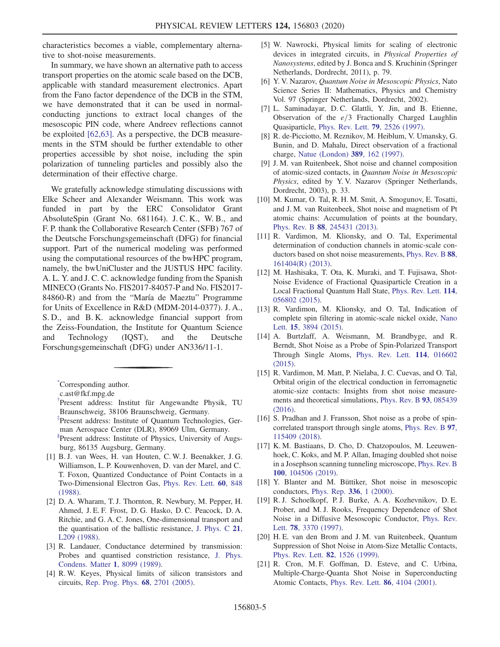characteristics becomes a viable, complementary alternative to shot-noise measurements.

In summary, we have shown an alternative path to access transport properties on the atomic scale based on the DCB, applicable with standard measurement electronics. Apart from the Fano factor dependence of the DCB in the STM, we have demonstrated that it can be used in normalconducting junctions to extract local changes of the mesoscopic PIN code, where Andreev reflections cannot be exploited [\[62,63\]](#page-6-7). As a perspective, the DCB measurements in the STM should be further extendable to other properties accessible by shot noise, including the spin polarization of tunneling particles and possibly also the determination of their effective charge.

We gratefully acknowledge stimulating discussions with Elke Scheer and Alexander Weismann. This work was funded in part by the ERC Consolidator Grant AbsoluteSpin (Grant No. 681164). J. C. K., W. B., and F. P. thank the Collaborative Research Center (SFB) 767 of the Deutsche Forschungsgemeinschaft (DFG) for financial support. Part of the numerical modeling was performed using the computational resources of the bwHPC program, namely, the bwUniCluster and the JUSTUS HPC facility. A. L. Y. and J. C. C. acknowledge funding from the Spanish MINECO (Grants No. FIS2017-84057-P and No. FIS2017- 84860-R) and from the "María de Maeztu" Programme for Units of Excellence in R&D (MDM-2014-0377). J. A., S. D., and B. K. acknowledge financial support from the Zeiss-Foundation, the Institute for Quantum Science and Technology (IQST), and the Deutsche Forschungsgemeinschaft (DFG) under AN336/11-1.

- <span id="page-4-4"></span>[1] B. J. van Wees, H. van Houten, C. W. J. Beenakker, J. G. Williamson, L. P. Kouwenhoven, D. van der Marel, and C. T. Foxon, Quantized Conductance of Point Contacts in a Two-Dimensional Electron Gas, [Phys. Rev. Lett.](https://doi.org/10.1103/PhysRevLett.60.848) 60, 848 [\(1988\).](https://doi.org/10.1103/PhysRevLett.60.848)
- [2] D. A. Wharam, T. J. Thornton, R. Newbury, M. Pepper, H. Ahmed, J. E. F. Frost, D. G. Hasko, D. C. Peacock, D. A. Ritchie, and G. A. C. Jones, One-dimensional transport and the quantisation of the ballistic resistance, [J. Phys. C](https://doi.org/10.1088/0022-3719/21/8/002) 21, [L209 \(1988\)](https://doi.org/10.1088/0022-3719/21/8/002).
- [3] R. Landauer, Conductance determined by transmission: Probes and quantised constriction resistance, [J. Phys.](https://doi.org/10.1088/0953-8984/1/43/011) [Condens. Matter](https://doi.org/10.1088/0953-8984/1/43/011) 1, 8099 (1989).
- [4] R. W. Keyes, Physical limits of silicon transistors and circuits, [Rep. Prog. Phys.](https://doi.org/10.1088/0034-4885/68/12/R01) 68, 2701 (2005).
- [5] W. Nawrocki, Physical limits for scaling of electronic devices in integrated circuits, in Physical Properties of Nanosystems, edited by J. Bonca and S. Kruchinin (Springer Netherlands, Dordrecht, 2011), p. 79.
- <span id="page-4-5"></span>[6] Y. V. Nazarov, Quantum Noise in Mesoscopic Physics, Nato Science Series II: Mathematics, Physics and Chemistry Vol. 97 (Springer Netherlands, Dordrecht, 2002).
- <span id="page-4-6"></span>[7] L. Saminadayar, D. C. Glattli, Y. Jin, and B. Etienne, Observation of the  $e/3$  Fractionally Charged Laughlin Quasiparticle, [Phys. Rev. Lett.](https://doi.org/10.1103/PhysRevLett.79.2526) 79, 2526 (1997).
- [8] R. de-Picciotto, M. Reznikov, M. Heiblum, V. Umansky, G. Bunin, and D. Mahalu, Direct observation of a fractional charge, [Natue \(London\)](https://doi.org/10.1038/38241) 389, 162 (1997).
- [9] J. M. van Ruitenbeek, Shot noise and channel composition of atomic-sized contacts, in Quantum Noise in Mesoscopic Physics, edited by Y. V. Nazarov (Springer Netherlands, Dordrecht, 2003), p. 33.
- [10] M. Kumar, O. Tal, R. H. M. Smit, A. Smogunov, E. Tosatti, and J. M. van Ruitenbeek, Shot noise and magnetism of Pt atomic chains: Accumulation of points at the boundary, Phys. Rev. B 88[, 245431 \(2013\).](https://doi.org/10.1103/PhysRevB.88.245431)
- [11] R. Vardimon, M. Klionsky, and O. Tal, Experimental determination of conduction channels in atomic-scale conductors based on shot noise measurements, [Phys. Rev. B](https://doi.org/10.1103/PhysRevB.88.161404) 88, [161404\(R\) \(2013\)](https://doi.org/10.1103/PhysRevB.88.161404).
- [12] M. Hashisaka, T. Ota, K. Muraki, and T. Fujisawa, Shot-Noise Evidence of Fractional Quasiparticle Creation in a Local Fractional Quantum Hall State, [Phys. Rev. Lett.](https://doi.org/10.1103/PhysRevLett.114.056802) 114, [056802 \(2015\).](https://doi.org/10.1103/PhysRevLett.114.056802)
- [13] R. Vardimon, M. Klionsky, and O. Tal, Indication of complete spin filtering in atomic-scale nickel oxide, [Nano](https://doi.org/10.1021/acs.nanolett.5b00729) Lett. 15[, 3894 \(2015\)](https://doi.org/10.1021/acs.nanolett.5b00729).
- <span id="page-4-9"></span>[14] A. Burtzlaff, A. Weismann, M. Brandbyge, and R. Berndt, Shot Noise as a Probe of Spin-Polarized Transport Through Single Atoms, [Phys. Rev. Lett.](https://doi.org/10.1103/PhysRevLett.114.016602) 114, 016602 [\(2015\).](https://doi.org/10.1103/PhysRevLett.114.016602)
- [15] R. Vardimon, M. Matt, P. Nielaba, J. C. Cuevas, and O. Tal, Orbital origin of the electrical conduction in ferromagnetic atomic-size contacts: Insights from shot noise measurements and theoretical simulations, [Phys. Rev. B](https://doi.org/10.1103/PhysRevB.93.085439) 93, 085439 [\(2016\).](https://doi.org/10.1103/PhysRevB.93.085439)
- [16] S. Pradhan and J. Fransson, Shot noise as a probe of spincorrelated transport through single atoms, [Phys. Rev. B](https://doi.org/10.1103/PhysRevB.97.115409) 97, [115409 \(2018\).](https://doi.org/10.1103/PhysRevB.97.115409)
- [17] K. M. Bastiaans, D. Cho, D. Chatzopoulos, M. Leeuwenhoek, C. Koks, and M. P. Allan, Imaging doubled shot noise in a Josephson scanning tunneling microscope, [Phys. Rev. B](https://doi.org/10.1103/PhysRevB.100.104506) 100[, 104506 \(2019\).](https://doi.org/10.1103/PhysRevB.100.104506)
- <span id="page-4-8"></span><span id="page-4-7"></span>[18] Y. Blanter and M. Büttiker, Shot noise in mesoscopic conductors, [Phys. Rep.](https://doi.org/10.1016/S0370-1573(99)00123-4) 336, 1 (2000).
- [19] R. J. Schoelkopf, P. J. Burke, A. A. Kozhevnikov, D. E. Prober, and M. J. Rooks, Frequency Dependence of Shot Noise in a Diffusive Mesoscopic Conductor, [Phys. Rev.](https://doi.org/10.1103/PhysRevLett.78.3370) Lett. 78[, 3370 \(1997\)](https://doi.org/10.1103/PhysRevLett.78.3370).
- [20] H. E. van den Brom and J. M. van Ruitenbeek, Quantum Suppression of Shot Noise in Atom-Size Metallic Contacts, [Phys. Rev. Lett.](https://doi.org/10.1103/PhysRevLett.82.1526) 82, 1526 (1999).
- [21] R. Cron, M. F. Goffman, D. Esteve, and C. Urbina, Multiple-Charge-Quanta Shot Noise in Superconducting Atomic Contacts, [Phys. Rev. Lett.](https://doi.org/10.1103/PhysRevLett.86.4104) 86, 4104 (2001).

<span id="page-4-3"></span>[<sup>\\*</sup>](#page-0-1) Corresponding author.

<span id="page-4-0"></span>c.ast@fkf.mpg.de

<span id="page-4-2"></span><span id="page-4-1"></span>[<sup>†</sup>](#page-0-2) Present address: Institut für Angewandte Physik, TU Braunschweig, 38106 Braunschweig, Germany. [‡](#page-0-2) Present address: Institute of Quantum Technologies, German Aerospace Center (DLR), 89069 Ulm, Germany. [§](#page-0-3) Present address: Institute of Physics, University of Augsburg, 86135 Augsburg, Germany.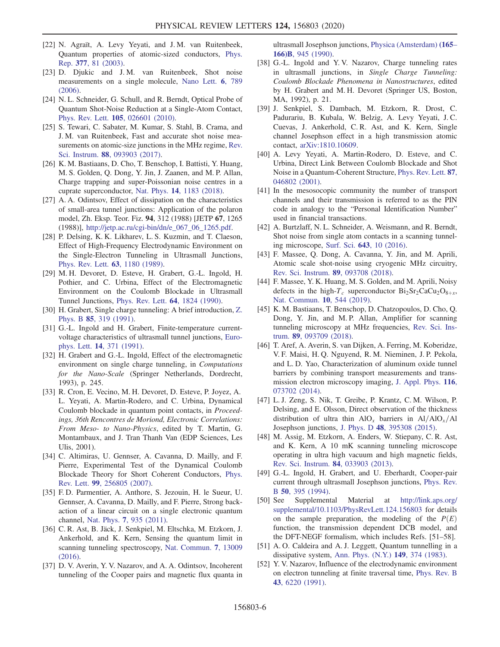- [22] N. Agraït, A. Levy Yeyati, and J. M. van Ruitenbeek, Quantum properties of atomic-sized conductors, [Phys.](https://doi.org/10.1016/S0370-1573(02)00633-6) Rep. 377[, 81 \(2003\).](https://doi.org/10.1016/S0370-1573(02)00633-6)
- [23] D. Djukic and J.M. van Ruitenbeek, Shot noise measurements on a single molecule, [Nano Lett.](https://doi.org/10.1021/nl060116e) 6, 789 [\(2006\).](https://doi.org/10.1021/nl060116e)
- [24] N. L. Schneider, G. Schull, and R. Berndt, Optical Probe of Quantum Shot-Noise Reduction at a Single-Atom Contact, Phys. Rev. Lett. 105[, 026601 \(2010\).](https://doi.org/10.1103/PhysRevLett.105.026601)
- [25] S. Tewari, C. Sabater, M. Kumar, S. Stahl, B. Crama, and J. M. van Ruitenbeek, Fast and accurate shot noise measurements on atomic-size junctions in the MHz regime, [Rev.](https://doi.org/10.1063/1.5003391) Sci. Instrum. 88[, 093903 \(2017\).](https://doi.org/10.1063/1.5003391)
- [26] K. M. Bastiaans, D. Cho, T. Benschop, I. Battisti, Y. Huang, M. S. Golden, Q. Dong, Y. Jin, J. Zaanen, and M. P. Allan, Charge trapping and super-Poissonian noise centres in a cuprate superconductor, Nat. Phys. 14[, 1183 \(2018\)](https://doi.org/10.1038/s41567-018-0300-z).
- <span id="page-5-0"></span>[27] A. A. Odintsov, Effect of dissipation on the characteristics of small-area tunnel junctions: Application of the polaron model, Zh. Eksp. Teor. Fiz. 94, 312 (1988) [JETP 67, 1265 (1988)], [http://jetp.ac.ru/cgi-bin/dn/e\\_067\\_06\\_1265.pdf](http://jetp.ac.ru/cgi-bin/dn/e_067_06_1265.pdf).
- [28] P. Delsing, K. K. Likharev, L. S. Kuzmin, and T. Claeson, Effect of High-Frequency Electrodynamic Environment on the Single-Electron Tunneling in Ultrasmall Junctions, [Phys. Rev. Lett.](https://doi.org/10.1103/PhysRevLett.63.1180) 63, 1180 (1989).
- <span id="page-5-2"></span>[29] M. H. Devoret, D. Esteve, H. Grabert, G.-L. Ingold, H. Pothier, and C. Urbina, Effect of the Electromagnetic Environment on the Coulomb Blockade in Ultrasmall Tunnel Junctions, [Phys. Rev. Lett.](https://doi.org/10.1103/PhysRevLett.64.1824) 64, 1824 (1990).
- [30] H. Grabert, Single charge tunneling: A brief introduction, [Z.](https://doi.org/10.1007/BF01307626) Phys. B 85[, 319 \(1991\).](https://doi.org/10.1007/BF01307626)
- [31] G.-L. Ingold and H. Grabert, Finite-temperature currentvoltage characteristics of ultrasmall tunnel junctions, [Euro](https://doi.org/10.1209/0295-5075/14/4/015)phys. Lett. 14[, 371 \(1991\)](https://doi.org/10.1209/0295-5075/14/4/015).
- [32] H. Grabert and G.-L. Ingold, Effect of the electromagnetic environment on single charge tunneling, in Computations for the Nano-Scale (Springer Netherlands, Dordrecht, 1993), p. 245.
- <span id="page-5-1"></span>[33] R. Cron, E. Vecino, M. H. Devoret, D. Esteve, P. Joyez, A. L. Yeyati, A. Martin-Rodero, and C. Urbina, Dynamical Coulomb blockade in quantum point contacts, in Proceedings, 36th Rencontres de Moriond, Electronic Correlations: From Meso- to Nano-Physics, edited by T. Martin, G. Montambaux, and J. Tran Thanh Van (EDP Sciences, Les Ulis, 2001).
- [34] C. Altimiras, U. Gennser, A. Cavanna, D. Mailly, and F. Pierre, Experimental Test of the Dynamical Coulomb Blockade Theory for Short Coherent Conductors, [Phys.](https://doi.org/10.1103/PhysRevLett.99.256805) Rev. Lett. 99[, 256805 \(2007\).](https://doi.org/10.1103/PhysRevLett.99.256805)
- [35] F. D. Parmentier, A. Anthore, S. Jezouin, H. le Sueur, U. Gennser, A. Cavanna, D. Mailly, and F. Pierre, Strong backaction of a linear circuit on a single electronic quantum channel, Nat. Phys. 7[, 935 \(2011\)](https://doi.org/10.1038/nphys2092).
- <span id="page-5-9"></span>[36] C. R. Ast, B. Jäck, J. Senkpiel, M. Eltschka, M. Etzkorn, J. Ankerhold, and K. Kern, Sensing the quantum limit in scanning tunneling spectroscopy, [Nat. Commun.](https://doi.org/10.1038/ncomms13009) 7, 13009 [\(2016\).](https://doi.org/10.1038/ncomms13009)
- [37] D. V. Averin, Y. V. Nazarov, and A. A. Odintsov, Incoherent tunneling of the Cooper pairs and magnetic flux quanta in

ultrasmall Josephson junctions, [Physica \(Amsterdam\)](https://doi.org/10.1016/S0921-4526(09)80058-6) (165– 166)B[, 945 \(1990\).](https://doi.org/10.1016/S0921-4526(09)80058-6)

- [38] G.-L. Ingold and Y.V. Nazarov, Charge tunneling rates in ultrasmall junctions, in Single Charge Tunneling: Coulomb Blockade Phenomena in Nanostructures, edited by H. Grabert and M. H. Devoret (Springer US, Boston, MA, 1992), p. 21.
- <span id="page-5-3"></span>[39] J. Senkpiel, S. Dambach, M. Etzkorn, R. Drost, C. Padurariu, B. Kubala, W. Belzig, A. Levy Yeyati, J. C. Cuevas, J. Ankerhold, C. R. Ast, and K. Kern, Single channel Josephson effect in a high transmission atomic contact, [arXiv:1810.10609.](https://arXiv.org/abs/1810.10609)
- <span id="page-5-4"></span>[40] A. Levy Yeyati, A. Martin-Rodero, D. Esteve, and C. Urbina, Direct Link Between Coulomb Blockade and Shot Noise in a Quantum-Coherent Structure, [Phys. Rev. Lett.](https://doi.org/10.1103/PhysRevLett.87.046802) 87, [046802 \(2001\).](https://doi.org/10.1103/PhysRevLett.87.046802)
- <span id="page-5-5"></span>[41] In the mesosocopic community the number of transport channels and their transmission is referred to as the PIN code in analogy to the "Personal Identification Number" used in financial transactions.
- [42] A. Burtzlaff, N. L. Schneider, A. Weismann, and R. Berndt, Shot noise from single atom contacts in a scanning tunneling microscope, Surf. Sci. 643[, 10 \(2016\).](https://doi.org/10.1016/j.susc.2015.07.006)
- [43] F. Massee, Q. Dong, A. Cavanna, Y. Jin, and M. Aprili, Atomic scale shot-noise using cryogenic MHz circuitry, [Rev. Sci. Instrum.](https://doi.org/10.1063/1.5043261) 89, 093708 (2018).
- [44] F. Massee, Y. K. Huang, M. S. Golden, and M. Aprili, Noisy defects in the high- $T_c$  superconductor  $Bi_2Sr_2CaCu_2O_{8+x}$ , [Nat. Commun.](https://doi.org/10.1038/s41467-019-08518-1) 10, 544 (2019).
- [45] K. M. Bastiaans, T. Benschop, D. Chatzopoulos, D. Cho, Q. Dong, Y. Jin, and M. P. Allan, Amplifier for scanning tunneling microscopy at MHz frequencies, [Rev. Sci. Ins](https://doi.org/10.1063/1.5043267)trum. 89[, 093709 \(2018\)](https://doi.org/10.1063/1.5043267).
- <span id="page-5-6"></span>[46] T. Aref, A. Averin, S. van Dijken, A. Ferring, M. Koberidze, V. F. Maisi, H. Q. Nguyend, R. M. Nieminen, J. P. Pekola, and L. D. Yao, Characterization of aluminum oxide tunnel barriers by combining transport measurements and transmission electron microscopy imaging, [J. Appl. Phys.](https://doi.org/10.1063/1.4893473) 116, [073702 \(2014\).](https://doi.org/10.1063/1.4893473)
- [47] L. J. Zeng, S. Nik, T. Greibe, P. Krantz, C. M. Wilson, P. Delsing, and E. Olsson, Direct observation of the thickness distribution of ultra thin AlO<sub>x</sub> barriers in Al/AlO<sub>x</sub>/Al Josephson junctions, J. Phys. D 48[, 395308 \(2015\)](https://doi.org/10.1088/0022-3727/48/39/395308).
- <span id="page-5-7"></span>[48] M. Assig, M. Etzkorn, A. Enders, W. Stiepany, C. R. Ast, and K. Kern, A 10 mK scanning tunneling microscope operating in ultra high vacuum and high magnetic fields, [Rev. Sci. Instrum.](https://doi.org/10.1063/1.4793793) 84, 033903 (2013).
- [49] G.-L. Ingold, H. Grabert, and U. Eberhardt, Cooper-pair current through ultrasmall Josephson junctions, [Phys. Rev.](https://doi.org/10.1103/PhysRevB.50.395) B 50[, 395 \(1994\)](https://doi.org/10.1103/PhysRevB.50.395).
- <span id="page-5-8"></span>[50] See Supplemental Material at [http://link.aps.org/](http://link.aps.org/supplemental/10.1103/PhysRevLett.124.156803) [supplemental/10.1103/PhysRevLett.124.156803](http://link.aps.org/supplemental/10.1103/PhysRevLett.124.156803) for details on the sample preparation, the modeling of the  $P(E)$ function, the transmission dependent DCB model, and the DFT-NEGF formalism, which includes Refs. [51–58].
- [51] A. O. Caldeira and A. J. Leggett, Quantum tunnelling in a dissipative system, [Ann. Phys. \(N.Y.\)](https://doi.org/10.1016/0003-4916(83)90202-6) 149, 374 (1983).
- [52] Y. V. Nazarov, Influence of the electrodynamic environment on electron tunneling at finite traversal time, [Phys. Rev. B](https://doi.org/10.1103/PhysRevB.43.6220) 43[, 6220 \(1991\)](https://doi.org/10.1103/PhysRevB.43.6220).